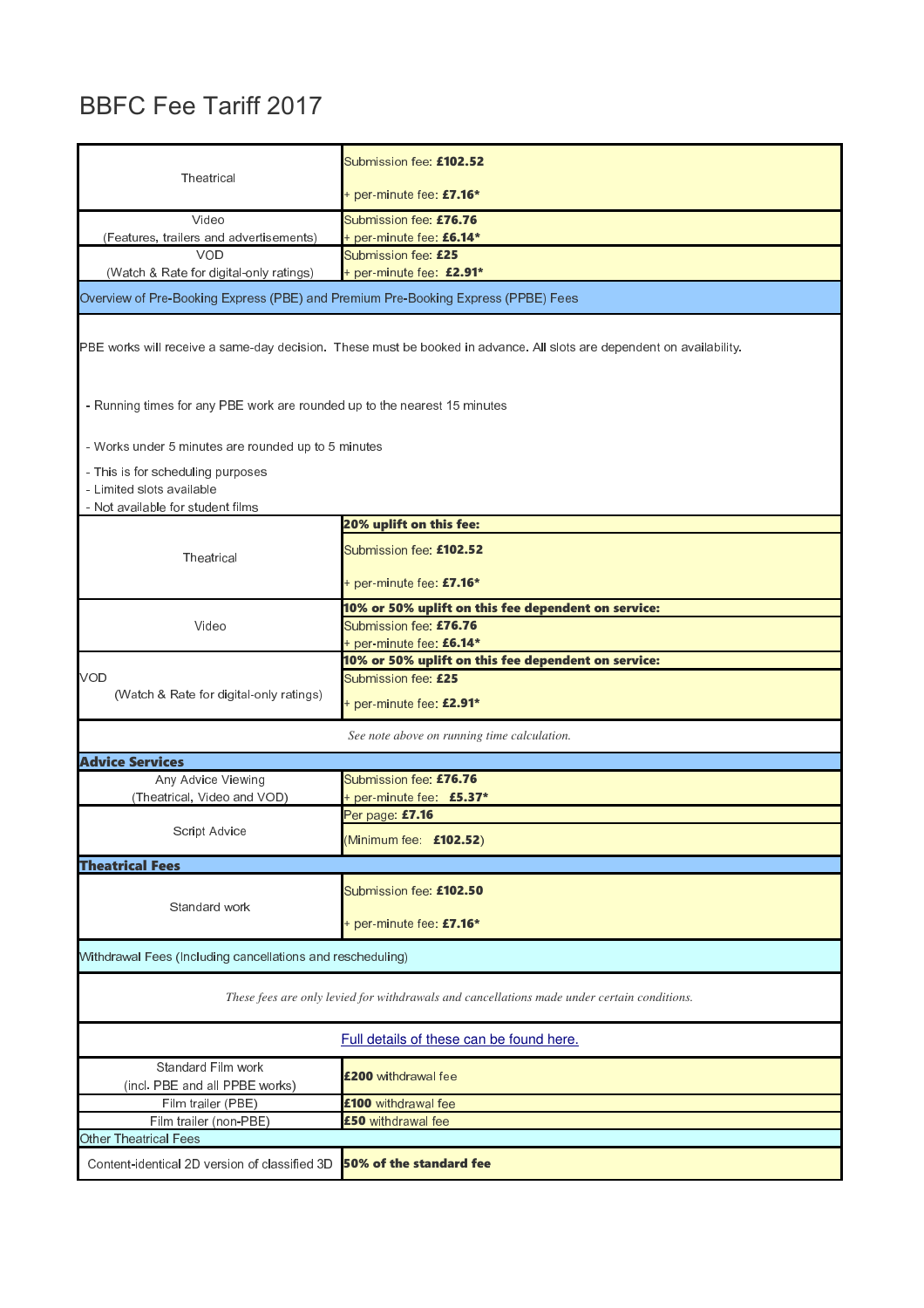## BBFC Fee Tariff 2017

| Theatrical                                                                                                            | Submission fee: £102.52<br>+ per-minute fee: £7.16* |  |  |
|-----------------------------------------------------------------------------------------------------------------------|-----------------------------------------------------|--|--|
| Video                                                                                                                 | Submission fee: £76.76                              |  |  |
| (Features, trailers and advertisements)<br><b>VOD</b>                                                                 | + per-minute fee: £6.14*<br>Submission fee: £25     |  |  |
| (Watch & Rate for digital-only ratings)                                                                               | + per-minute fee: £2.91*                            |  |  |
| Overview of Pre-Booking Express (PBE) and Premium Pre-Booking Express (PPBE) Fees                                     |                                                     |  |  |
| PBE works will receive a same-day decision. These must be booked in advance. All slots are dependent on availability. |                                                     |  |  |
| - Running times for any PBE work are rounded up to the nearest 15 minutes                                             |                                                     |  |  |
| - Works under 5 minutes are rounded up to 5 minutes                                                                   |                                                     |  |  |
| - This is for scheduling purposes<br>- Limited slots available<br>- Not available for student films                   |                                                     |  |  |
|                                                                                                                       | 20% uplift on this fee:                             |  |  |
| Theatrical                                                                                                            | Submission fee: £102.52                             |  |  |
|                                                                                                                       | + per-minute fee: £7.16*                            |  |  |
|                                                                                                                       | 10% or 50% uplift on this fee dependent on service: |  |  |
| Video                                                                                                                 | Submission fee: £76.76<br>+ per-minute fee: £6.14*  |  |  |
|                                                                                                                       | 10% or 50% uplift on this fee dependent on service: |  |  |
| <b>VOD</b>                                                                                                            | Submission fee: £25                                 |  |  |
| (Watch & Rate for digital only ratings)                                                                               | + per-minute fee: £2.91*                            |  |  |
|                                                                                                                       | See note above on running time calculation.         |  |  |
| <b>Advice Services</b>                                                                                                |                                                     |  |  |
| Any Advice Viewing                                                                                                    | Submission fee: £76.76                              |  |  |
| (Theatrical, Video and VOD)                                                                                           | + per-minute fee: £5.37*<br>Per page: £7.16         |  |  |
| Script Advice                                                                                                         | (Minimum fee: £102.52)                              |  |  |
| <b>Theatrical Fees</b>                                                                                                |                                                     |  |  |
|                                                                                                                       |                                                     |  |  |
| Standard work                                                                                                         | Submission fee: £102.50                             |  |  |
|                                                                                                                       | + per-minute fee: $£7.16*$                          |  |  |
| Withdrawal Fees (Including cancellations and rescheduling)                                                            |                                                     |  |  |
| These fees are only levied for withdrawals and cancellations made under certain conditions.                           |                                                     |  |  |
|                                                                                                                       | Full details of these can be found here.            |  |  |
| Standard Film work<br>(ind. PBE and all PPBE works)                                                                   | £200 withdrawal fee                                 |  |  |
| Film trailer (PBE)                                                                                                    | £100 withdrawal fee                                 |  |  |
| Film trailer (non-PBE)                                                                                                | £50 withdrawal fee                                  |  |  |
| Other Theatrical Fees                                                                                                 |                                                     |  |  |
| Content-identical 2D version of classified 3D                                                                         | 50% of the standard fee                             |  |  |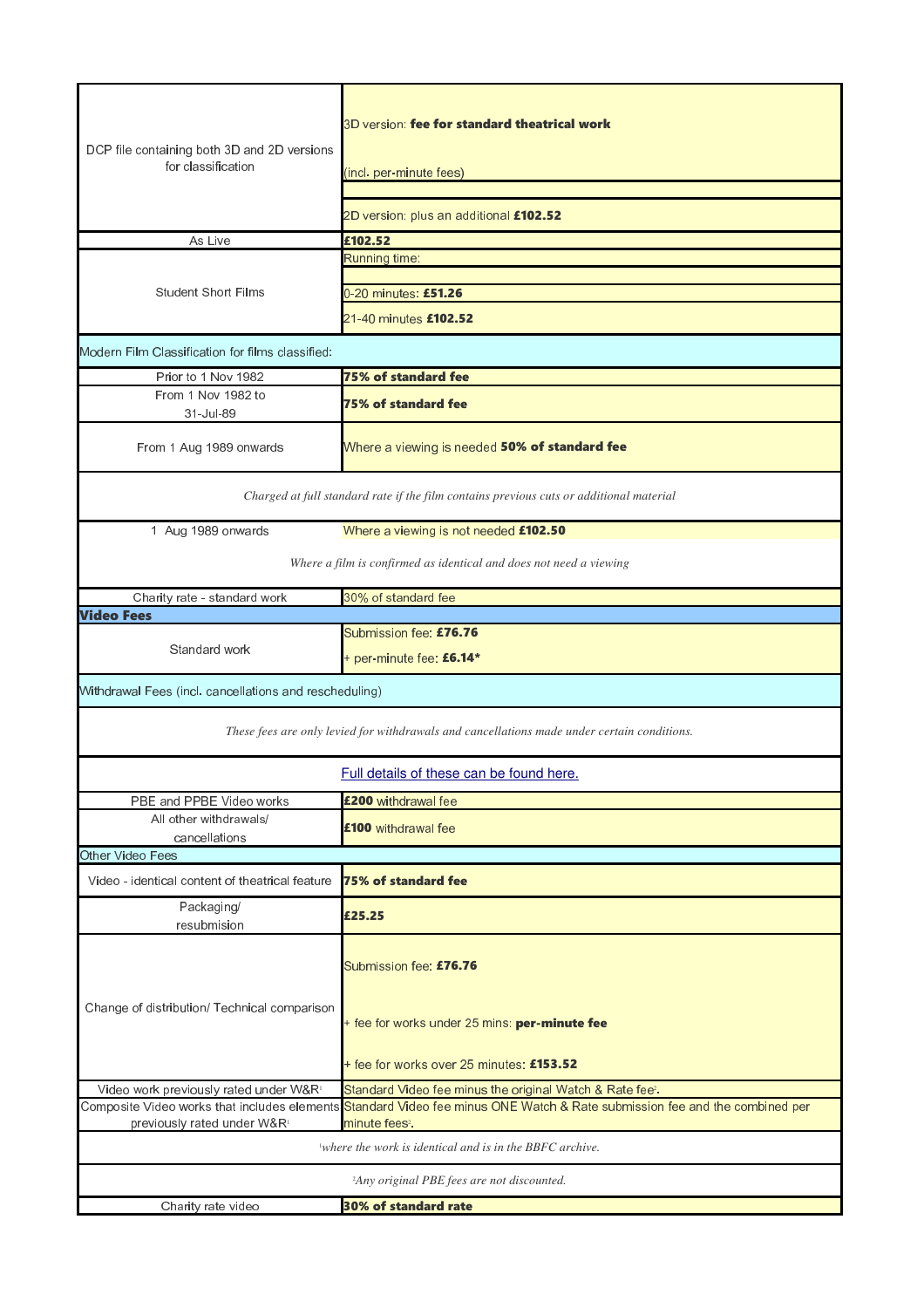|                                                                                                                                  | 3D version: fee for standard theatrical work                                                                               |  |
|----------------------------------------------------------------------------------------------------------------------------------|----------------------------------------------------------------------------------------------------------------------------|--|
| DCP file containing both 3D and 2D versions<br>for classification                                                                | (ind. per-minute fees)                                                                                                     |  |
|                                                                                                                                  |                                                                                                                            |  |
|                                                                                                                                  | 2D version: plus an additional £102.52                                                                                     |  |
| As Live                                                                                                                          | £102.52                                                                                                                    |  |
|                                                                                                                                  | Running time:                                                                                                              |  |
| <b>Student Short Films</b>                                                                                                       | 0-20 minutes: £51.26                                                                                                       |  |
|                                                                                                                                  | 21-40 minutes £102.52                                                                                                      |  |
| Modern Film Classification for films classified:                                                                                 |                                                                                                                            |  |
|                                                                                                                                  | <b>75% of standard fee</b>                                                                                                 |  |
| Prior to 1 Nov 1982<br>From 1 Nov 1982 to                                                                                        |                                                                                                                            |  |
| 31-Jul-89                                                                                                                        | <b>75% of standard fee</b>                                                                                                 |  |
| From 1 Aug 1989 onwards                                                                                                          | Where a viewing is needed 50% of standard fee                                                                              |  |
| Charged at full standard rate if the film contains previous cuts or additional material                                          |                                                                                                                            |  |
| 1 Aug 1989 onwards                                                                                                               | Where a viewing is not needed £102.50                                                                                      |  |
| Where a film is confirmed as identical and does not need a viewing                                                               |                                                                                                                            |  |
| Charity rate - standard work                                                                                                     | 30% of standard fee                                                                                                        |  |
| <b>Video Fees</b>                                                                                                                |                                                                                                                            |  |
|                                                                                                                                  | Submission fee: £76.76                                                                                                     |  |
| Standard work                                                                                                                    | + per-minute fee: £6.14*                                                                                                   |  |
| Withdrawal Fees (incl. cancellations and rescheduling)                                                                           |                                                                                                                            |  |
|                                                                                                                                  | These fees are only levied for withdrawals and cancellations made under certain conditions.                                |  |
|                                                                                                                                  | Full details of these can be found here.                                                                                   |  |
| PBE and PPBE Video works                                                                                                         | £200 withdrawal fee                                                                                                        |  |
| All other withdrawals/                                                                                                           | £100 withdrawal fee                                                                                                        |  |
| cancellations                                                                                                                    |                                                                                                                            |  |
| Other Video Fees                                                                                                                 |                                                                                                                            |  |
| Video - identical content of theatrical feature                                                                                  | <b>75% of standard fee</b>                                                                                                 |  |
| Packaging/                                                                                                                       | £25.25                                                                                                                     |  |
| resubmision                                                                                                                      |                                                                                                                            |  |
|                                                                                                                                  | Submission fee: £76.76                                                                                                     |  |
| Change of distribution/ Technical comparison                                                                                     | + fee for works under 25 mins: per-minute fee                                                                              |  |
|                                                                                                                                  | + fee for works over 25 minutes: £153.52                                                                                   |  |
| Video work previously rated under W&R!                                                                                           | Standard Video fee minus the original Watch & Rate fee <sup>2</sup> .                                                      |  |
|                                                                                                                                  | Composite Video works that includes elements Standard Video fee minus ONE Watch & Rate submission fee and the combined per |  |
| previously rated under W&R <sup>1</sup><br>minute fees <sup>2</sup> .<br>where the work is identical and is in the BBFC archive. |                                                                                                                            |  |
|                                                                                                                                  |                                                                                                                            |  |
|                                                                                                                                  | <sup>2</sup> Any original PBE fees are not discounted.                                                                     |  |
| Charity rate video                                                                                                               | <b>30% of standard rate</b>                                                                                                |  |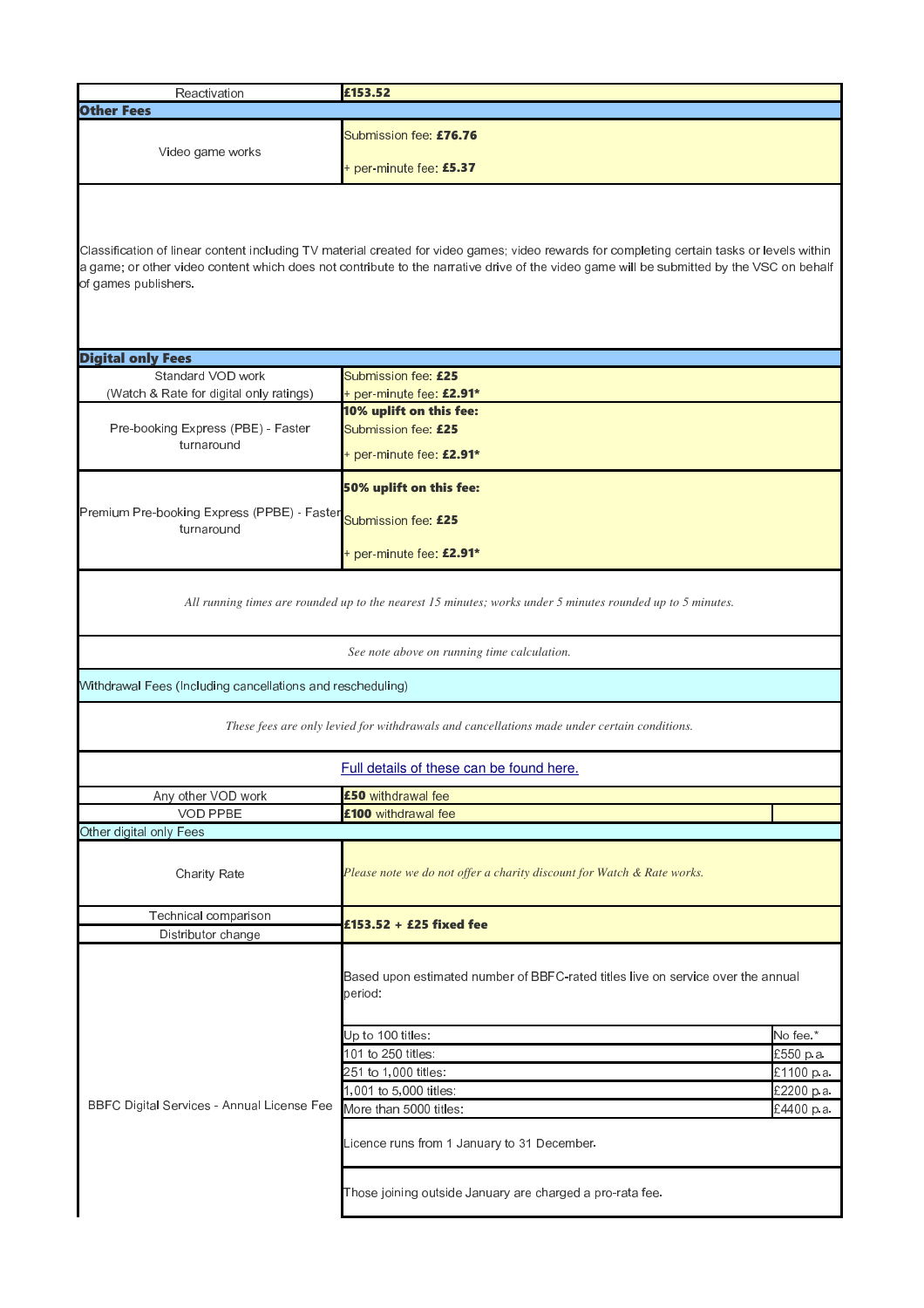| Reactivation                                                                                                                                                                                                                                                                                                    | £153.52                                                                                    |            |  |
|-----------------------------------------------------------------------------------------------------------------------------------------------------------------------------------------------------------------------------------------------------------------------------------------------------------------|--------------------------------------------------------------------------------------------|------------|--|
| <b>Other Fees</b>                                                                                                                                                                                                                                                                                               |                                                                                            |            |  |
| Video game works                                                                                                                                                                                                                                                                                                | Submission fee: £76.76<br>+ per-minute fee: $£5.37$                                        |            |  |
| Classification of linear content including TV material created for video games; video rewards for completing certain tasks or levels within<br>a game; or other video content which does not contribute to the narrative drive of the video game will be submitted by the VSC on behalf<br>of games publishers. |                                                                                            |            |  |
|                                                                                                                                                                                                                                                                                                                 |                                                                                            |            |  |
| <b>Digital only Fees</b>                                                                                                                                                                                                                                                                                        |                                                                                            |            |  |
| Standard VOD work                                                                                                                                                                                                                                                                                               | Submission fee: £25                                                                        |            |  |
| (Watch & Rate for digital only ratings)                                                                                                                                                                                                                                                                         | + per-minute fee: £2.91*                                                                   |            |  |
| Pre-booking Express (PBE) - Faster<br>turnaround                                                                                                                                                                                                                                                                | 10% uplift on this fee:<br>Submission fee: £25<br>+ per-minute fee: $£2.91*$               |            |  |
|                                                                                                                                                                                                                                                                                                                 | 50% uplift on this fee:                                                                    |            |  |
| Premium Pre-booking Express (PPBE) - Faster<br>turnaround                                                                                                                                                                                                                                                       | Submission fee: £25<br>+ per-minute fee: £2.91*                                            |            |  |
| All running times are rounded up to the nearest 15 minutes; works under 5 minutes rounded up to 5 minutes.<br>See note above on running time calculation.                                                                                                                                                       |                                                                                            |            |  |
| Withdrawal Fees (Including cancellations and rescheduling)<br>These fees are only levied for withdrawals and cancellations made under certain conditions.                                                                                                                                                       |                                                                                            |            |  |
| Full details of these can be found here.                                                                                                                                                                                                                                                                        |                                                                                            |            |  |
| Any other VOD work                                                                                                                                                                                                                                                                                              | £50 withdrawal fee                                                                         |            |  |
| <b>VOD PPBE</b>                                                                                                                                                                                                                                                                                                 | £100 withdrawal fee                                                                        |            |  |
| Other digital only Fees                                                                                                                                                                                                                                                                                         |                                                                                            |            |  |
| Charity Rate                                                                                                                                                                                                                                                                                                    | Please note we do not offer a charity discount for Watch & Rate works.                     |            |  |
| Technical comparison                                                                                                                                                                                                                                                                                            | £153.52 + £25 fixed fee                                                                    |            |  |
| Distributor change                                                                                                                                                                                                                                                                                              |                                                                                            |            |  |
|                                                                                                                                                                                                                                                                                                                 | Based upon estimated number of BBFC-rated titles live on service over the annual<br>penod: |            |  |
|                                                                                                                                                                                                                                                                                                                 | Up to 100 titles:                                                                          | No fee.*   |  |
|                                                                                                                                                                                                                                                                                                                 | 101 to 250 titles:                                                                         | £550 p.a.  |  |
|                                                                                                                                                                                                                                                                                                                 | 251 to 1,000 titles:                                                                       | £1100 p.a. |  |
|                                                                                                                                                                                                                                                                                                                 | 1,001 to 5,000 titles:                                                                     | E2200 p.a. |  |
| BBFC Digital Services - Annual License Fee                                                                                                                                                                                                                                                                      | More than 5000 titles:                                                                     | £4400 p.a. |  |
|                                                                                                                                                                                                                                                                                                                 | Licence runs from 1 January to 31 December.                                                |            |  |
|                                                                                                                                                                                                                                                                                                                 | Those joining outside January are charged a pro-rata fee.                                  |            |  |